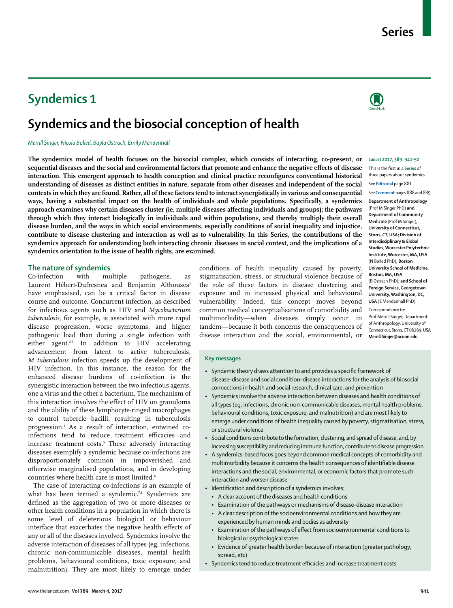# **Syndemics 1**

# **Syndemics and the biosocial conception of health**

*Merrill Singer, Nicola Bulled, Bayla Ostrach, Emily Mendenhall*

**The syndemics model of health focuses on the biosocial complex, which consists of interacting, co-present, or**  *Lancet* **2017; 389: 941–50 sequential diseases and the social and environmental factors that promote and enhance the negative effects of disease interaction. This emergent approach to health conception and clinical practice reconfigures conventional historical understanding of diseases as distinct entities in nature, separate from other diseases and independent of the social contexts in which they are found. Rather, all of these factors tend to interact synergistically in various and consequential ways, having a substantial impact on the health of individuals and whole populations. Specifically, a syndemics approach examines why certain diseases cluster (ie, multiple diseases affecting individuals and groups); the pathways through which they interact biologically in individuals and within populations, and thereby multiply their overall disease burden, and the ways in which social environments, especially conditions of social inequality and injustice, contribute to disease clustering and interaction as well as to vulnerability. In this Series, the contributions of the syndemics approach for understanding both interacting chronic diseases in social context, and the implications of a syndemics orientation to the issue of health rights, are examined.**

# **The nature of syndemics**<br>Co-infection with mi

Co-infection with multiple pathogens, as Laurent Hébert-Dufresnea and Benjamin Althousea<sup>1</sup> have emphasised, can be a critical factor in disease course and outcome. Concurrent infection, as described for infectious agents such as HIV and *Mycobacterium tuberculosis*, for example, is associated with more rapid disease progression, worse symptoms, and higher pathogenic load than during a single infection with either agent.<sup>2,3</sup> In addition to HIV accelerating advancement from latent to active tuberculosis, *M tuberculosis* infection speeds up the development of HIV infection. In this instance, the reason for the enhanced disease burdens of co-infection is the synergistic interaction between the two infectious agents, one a virus and the other a bacterium. The mechanism of this interaction involves the effect of HIV on granuloma and the ability of these lymphocyte-ringed macrophages to control tubercle bacilli, resulting in tuberculosis progression.4 As a result of interaction, entwined coinfections tend to reduce treatment efficacies and increase treatment costs.5 These adversely interacting diseases exemplify a syndemic because co-infections are disproportionately common in impoverished and otherwise marginalised populations, and in developing countries where health care is most limited.<sup>6</sup>

The case of interacting co-infections is an example of what has been termed a syndemic.<sup>7,8</sup> Syndemics are defined as the aggregation of two or more diseases or other health conditions in a population in which there is some level of deleterious biological or behaviour interface that exacerbates the negative health effects of any or all of the diseases involved. Syndemics involve the adverse interaction of diseases of all types (eg, infections, chronic non-communicable diseases, mental health problems, behavioural conditions, toxic exposure, and malnutrition). They are most likely to emerge under conditions of health inequality caused by poverty, stigmatisation, stress, or structural violence because of the role of these factors in disease clustering and exposure and in increased physical and behavioural vulnerability. Indeed, this concept moves beyond common medical conceptualisations of comorbidity and multimorbidity—when diseases simply occur in tandem—because it both concerns the consequences of disease interaction and the social, environmental, or

This is the first in a **Series** of three papers about syndemics See **Editorial** page 881 See **Comment** pages 888 and 889 **Department of Anthropology**  (Prof M Singer PhD) **and Department of Community Medicine** (Prof M Singer)**, University of Connecticut, Storrs, CT, USA; Division of Interdisciplinary & Global Studies, Worcester Polytechnic Institute, Worcester, MA, USA** (N Bulled PhD)**; Boston University School of Medicine, Boston, MA, USA** (B Ostrach PhD)**; and School of Foreign Service, Georgetown University, Washington, DC, USA** (E Mendenhall PhD) Correspondence to: Prof Merrill Singer, Department

of Anthropology, University of Connecticut, Storrs, CT 06269, USA **Merrill.Singer@uconn.edu**

# **Key messages**

- Syndemic theory draws attention to and provides a specific framework of disease–disease and social condition–disease interactions for the analysis of biosocial connections in health and social research, clinical care, and prevention
- • Syndemics involve the adverse interaction between diseases and health conditions of all types (eg, infections, chronic non-communicable diseases, mental health problems, behavioural conditions, toxic exposure, and malnutrition) and are most likely to emerge under conditions of health inequality caused by poverty, stigmatisation, stress, or structural violence
- Social conditions contribute to the formation, clustering, and spread of disease, and, by increasing susceptibility and reducing immune function, contribute to disease progression.
- A syndemics-based focus goes beyond common medical concepts of comorbidity and multimorbidity because it concerns the health consequences of identifiable disease interactions and the social, environmental, or economic factors that promote such interaction and worsen disease
- Identification and description of a syndemics involves:
	- A clear account of the diseases and health conditions
	- Examination of the pathways or mechanisms of disease-disease interaction
	- A clear description of the socioenvironmental conditions and how they are experienced by human minds and bodies as adversity
	- Examination of the pathways of effect from socioenvironmental conditions to biological or psychological states
	- Evidence of greater health burden because of interaction (greater pathology, spread, etc)
- Syndemics tend to reduce treatment efficacies and increase treatment costs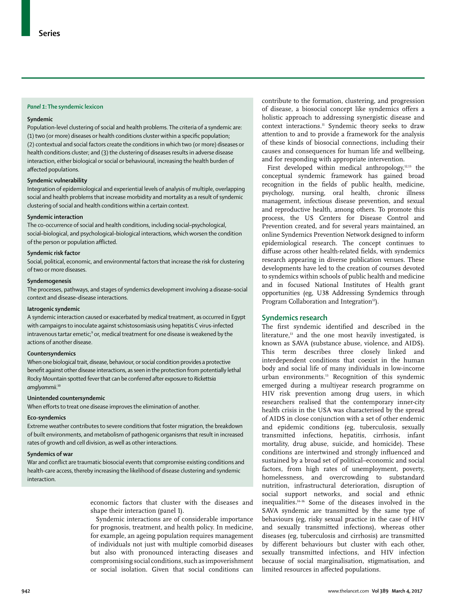### *Panel 1***: The syndemic lexicon**

### **Syndemic**

Population-level clustering of social and health problems. The criteria of a syndemic are: (1) two (or more) diseases or health conditions cluster within a specific population; (2) contextual and social factors create the conditions in which two (or more) diseases or health conditions cluster; and (3) the clustering of diseases results in adverse disease interaction, either biological or social or behavioural, increasing the health burden of affected populations.

# **Syndemic vulnerability**

Integration of epidemiological and experiential levels of analysis of multiple, overlapping social and health problems that increase morbidity and mortality as a result of syndemic clustering of social and health conditions within a certain context.

# **Syndemic interaction**

The co-occurrence of social and health conditions, including social–psychological, social–biological, and psychological–biological interactions, which worsen the condition of the person or population afflicted.

# **Syndemic risk factor**

Social, political, economic, and environmental factors that increase the risk for clustering of two or more diseases.

#### **Syndemogenesis**

The processes, pathways, and stages of syndemics development involving a disease–social context and disease–disease interactions.

### **Iatrogenic syndemic**

A syndemic interaction caused or exacerbated by medical treatment, as occurred in Egypt with campaigns to inoculate against schistosomiasis using hepatitis C virus-infected intravenous tartar emetic; $9$  or, medical treatment for one disease is weakened by the actions of another disease.

#### **Countersyndemics**

When one biological trait, disease, behaviour, or social condition provides a protective benefit against other disease interactions, asseen in the protection from potentially lethal Rocky Mountain spotted feverthatcan be conferred after exposure to *Rickettsia amglyommii*. 10

#### **Unintended countersyndemic**

When efforts to treat one disease improves the elimination of another.

#### **Eco-syndemics**

Extreme weather contributes to severe conditions that foster migration, the breakdown of built environments, and metabolism of pathogenic organisms that result in increased rates of growth and cell division, as well as other interactions.

#### **Syndemics of war**

War and conflict are traumatic biosocial events that compromise existing conditions and health-care access, thereby increasing the likelihood of disease clustering and syndemic interaction.

> economic factors that cluster with the diseases and shape their interaction (panel 1).

Syndemic interactions are of considerable importance for prognosis, treatment, and health policy. In medicine, for example, an ageing population requires management of individuals not just with multiple comorbid diseases but also with pronounced interacting diseases and compromising social conditions, such as impoverishment or social isolation. Given that social conditions can contribute to the formation, clustering, and progression of disease, a biosocial concept like syndemics offers a holistic approach to addressing synergistic disease and context interactions.<sup>11</sup> Syndemic theory seeks to draw attention to and to provide a framework for the analysis of these kinds of biosocial connections, including their causes and consequences for human life and wellbeing, and for responding with appropriate intervention.

First developed within medical anthropology,<sup>12,13</sup> the conceptual syndemic framework has gained broad recognition in the fields of public health, medicine, psychology, nursing, oral health, chronic illness management, infectious disease prevention, and sexual and reproductive health, among others. To promote this process, the US Centers for Disease Control and Prevention created, and for several years maintained, an online Syndemics Prevention Network designed to inform epidemiological research. The concept continues to diffuse across other health-related fields, with syndemics research appearing in diverse publication venues. These developments have led to the creation of courses devoted to syndemics within schools of public health and medicine and in focused National Institutes of Health grant opportunities (eg, U38 Addressing Syndemics through Program Collaboration and Integration<sup>12</sup>).

#### **Syndemics research**

The first syndemic identified and described in the literature,<sup>13</sup> and the one most heavily investigated, is known as SAVA (substance abuse, violence, and AIDS). This term describes three closely linked and interdependent conditions that coexist in the human body and social life of many individuals in low-income urban environments.13 Recognition of this syndemic emerged during a multiyear research programme on HIV risk prevention among drug users, in which researchers realised that the contemporary inner-city health crisis in the USA was characterised by the spread of AIDS in close conjunction with a set of other endemic and epidemic conditions (eg, tuberculosis, sexually transmitted infections, hepatitis, cirrhosis, infant mortality, drug abuse, suicide, and homicide). These conditions are intertwined and strongly influenced and sustained by a broad set of political–economic and social factors, from high rates of unemployment, poverty, homelessness, and overcrowding to substandard nutrition, infrastructural deterioration, disruption of social support networks, and social and ethnic inequalities.14–16 Some of the diseases involved in the SAVA syndemic are transmitted by the same type of behaviours (eg, risky sexual practice in the case of HIV and sexually transmitted infections), whereas other diseases (eg, tuberculosis and cirrhosis) are transmitted by different behaviours but cluster with each other, sexually transmitted infections, and HIV infection because of social marginalisation, stigmatisation, and limited resources in affected populations.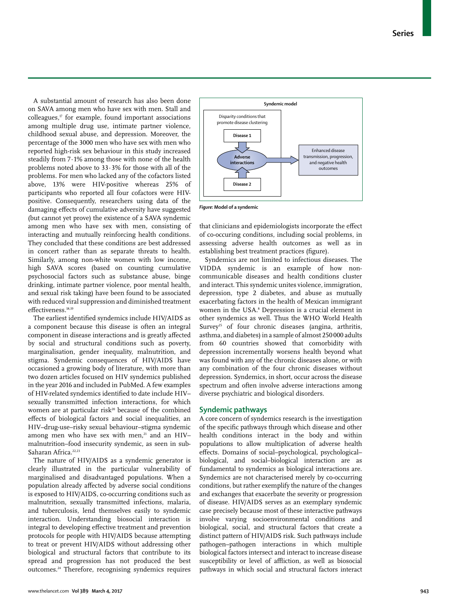A substantial amount of research has also been done on SAVA among men who have sex with men. Stall and  $colleagues$ , $\sigma$  for example, found important associations among multiple drug use, intimate partner violence, childhood sexual abuse, and depression. Moreover, the percentage of the 3000 men who have sex with men who reported high-risk sex behaviour in this study increased steadily from 7·1% among those with none of the health problems noted above to 33·3% for those with all of the problems. For men who lacked any of the cofactors listed above, 13% were HIV-positive whereas 25% of participants who reported all four cofactors were HIVpositive. Consequently, researchers using data of the damaging effects of cumulative adversity have suggested (but cannot yet prove) the existence of a SAVA syndemic among men who have sex with men, consisting of interacting and mutually reinforcing health conditions. They concluded that these conditions are best addressed in concert rather than as separate threats to health. Similarly, among non-white women with low income, high SAVA scores (based on counting cumulative psychosocial factors such as substance abuse, binge drinking, intimate partner violence, poor mental health, and sexual risk taking) have been found to be associated with reduced viral suppression and diminished treatment effectiveness.<sup>18,19</sup>

The earliest identified syndemics include HIV/AIDS as a component because this disease is often an integral component in disease interactions and is greatly affected by social and structural conditions such as poverty, marginalisation, gender inequality, malnutrition, and stigma. Syndemic consequences of HIV/AIDS have occasioned a growing body of literature, with more than two dozen articles focused on HIV syndemics published in the year 2016 and included in PubMed. A few examples of HIV-related syndemics identified to date include HIV– sexually transmitted infection interactions, for which women are at particular risk<sup>20</sup> because of the combined effects of biological factors and social inequalities, an HIV–drug-use–risky sexual behaviour–stigma syndemic among men who have sex with men, $21$  and an HIVmalnutrition–food insecurity syndemic, as seen in sub-Saharan Africa<sup>22,23</sup>

The nature of HIV/AIDS as a syndemic generator is clearly illustrated in the particular vulnerability of marginalised and disadvantaged populations. When a population already affected by adverse social conditions is exposed to HIV/AIDS, co-occurring conditions such as malnutrition, sexually transmitted infections, malaria, and tuberculosis, lend themselves easily to syndemic interaction. Understanding biosocial interaction is integral to developing effective treatment and prevention protocols for people with HIV/AIDS because attempting to treat or prevent HIV/AIDS without addressing other biological and structural factors that contribute to its spread and progression has not produced the best outcomes.24 Therefore, recognising syndemics requires



*Figure***: Model of a syndemic**

that clinicians and epidemiologists incorporate the effect of co-occuring conditions, including social problems, in assessing adverse health outcomes as well as in establishing best treatment practices (figure).

Syndemics are not limited to infectious diseases. The VIDDA syndemic is an example of how noncommunicable diseases and health conditions cluster and interact. This syndemic unites violence, immigration, depression, type 2 diabetes, and abuse as mutually exacerbating factors in the health of Mexican immigrant women in the USA.<sup>8</sup> Depression is a crucial element in other syndemics as well. Thus the WHO World Health Survey<sup>25</sup> of four chronic diseases (angina, arthritis, asthma, and diabetes) in a sample of almost 250000 adults from 60 countries showed that comorbidity with depression incrementally worsens health beyond what was found with any of the chronic diseases alone, or with any combination of the four chronic diseases without depression. Syndemics, in short, occur across the disease spectrum and often involve adverse interactions among diverse psychiatric and biological disorders.

# **Syndemic pathways**

A core concern of syndemics research is the investigation of the specific pathways through which disease and other health conditions interact in the body and within populations to allow multiplication of adverse health effects. Domains of social–psychological, psychological– biological, and social–biological interaction are as fundamental to syndemics as biological interactions are. Syndemics are not characterised merely by co-occurring conditions, but rather exemplify the nature of the changes and exchanges that exacerbate the severity or progression of disease. HIV/AIDS serves as an exemplary syndemic case precisely because most of these interactive pathways involve varying socioenvironmental conditions and biological, social, and structural factors that create a distinct pattern of HIV/AIDS risk. Such pathways include pathogen–pathogen interactions in which multiple biological factors intersect and interact to increase disease susceptibility or level of affliction, as well as biosocial pathways in which social and structural factors interact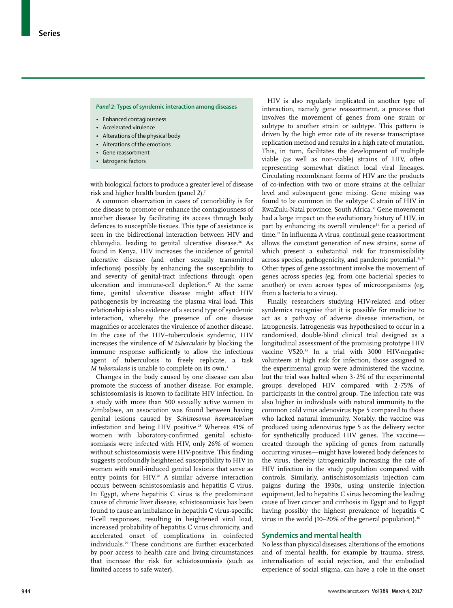*Panel 2***: Types of syndemic interaction among diseases**

- • Enhanced contagiousness
- • Accelerated virulence
- Alterations of the physical body
- Alterations of the emotions
- • Gene reassortment
- latrogenic factors

with biological factors to produce a greater level of disease risk and higher health burden (panel 2).<sup>7</sup>

A common observation in cases of comorbidity is for one disease to promote or enhance the contagiousness of another disease by facilitating its access through body defences to susceptible tissues. This type of assistance is seen in the bidirectional interaction between HIV and chlamydia, leading to genital ulcerative disease.<sup>26</sup> As found in Kenya, HIV increases the incidence of genital ulcerative disease (and other sexually transmitted infections) possibly by enhancing the susceptibility to and severity of genital-tract infections through open ulceration and immune-cell depletion.<sup>27</sup> At the same time, genital ulcerative disease might affect HIV pathogenesis by increasing the plasma viral load. This relationship is also evidence of a second type of syndemic interaction, whereby the presence of one disease magnifies or accelerates the virulence of another disease. In the case of the HIV–tuberculosis syndemic, HIV increases the virulence of *M tuberculosis* by blocking the immune response sufficiently to allow the infectious agent of tuberculosis to freely replicate, a task *M tuberculosis* is unable to complete on its own.3

Changes in the body caused by one disease can also promote the success of another disease. For example, schistosomiasis is known to facilitate HIV infection. In a study with more than 500 sexually active women in Zimbabwe, an association was found between having genital lesions caused by *Schistosoma haematobium* infestation and being HIV positive.<sup>28</sup> Whereas 41% of women with laboratory-confirmed genital schistosomiasis were infected with HIV, only 26% of women without schistosomiasis were HIV-positive. This finding suggests profoundly heightened susceptibility to HIV in women with snail-induced genital lesions that serve as entry points for HIV.<sup>28</sup> A similar adverse interaction occurs between schistosomiasis and hepatitis C virus. In Egypt, where hepatitis C virus is the predominant cause of chronic liver disease, schistosomiasis has been found to cause an imbalance in hepatitis C virus-specific T-cell responses, resulting in heightened viral load, increased probability of hepatitis C virus chronicity, and accelerated onset of complications in coinfected individuals.29 These conditions are further exacerbated by poor access to health care and living circumstances that increase the risk for schistosomiasis (such as limited access to safe water).

HIV is also regularly implicated in another type of interaction, namely gene reassortment, a process that involves the movement of genes from one strain or subtype to another strain or subtype. This pattern is driven by the high error rate of its reverse transcriptase replication method and results in a high rate of mutation. This, in turn, facilitates the development of multiple viable (as well as non-viable) strains of HIV, often representing somewhat distinct local viral lineages. Circulating recombinant forms of HIV are the products of co-infection with two or more strains at the cellular level and subsequent gene mixing. Gene mixing was found to be common in the subtype C strain of HIV in KwaZulu-Natal province, South Africa.<sup>30</sup> Gene movement had a large impact on the evolutionary history of HIV, in part by enhancing its overall virulence<sup>31</sup> for a period of time.<sup>32</sup> In influenza A virus, continual gene reassortment allows the constant generation of new strains, some of which present a substantial risk for transmissibility across species, pathogenicity, and pandemic potential.<sup>33,34</sup> Other types of gene assortment involve the movement of genes across species (eg, from one bacterial species to another) or even across types of microorganisms (eg, from a bacteria to a virus).

Finally, researchers studying HIV-related and other syndemics recognise that it is possible for medicine to act as a pathway of adverse disease interaction, or iatrogenesis. Iatrogenesis was hypothesised to occur in a randomised, double-blind clinical trial designed as a longitudinal assessment of the promising prototype HIV vaccine V520.<sup>35</sup> In a trial with 3000 HIV-negative volunteers at high risk for infection, those assigned to the experimental group were administered the vaccine, but the trial was halted when 3·2% of the experimental groups developed HIV compared with 2·75% of participants in the control group. The infection rate was also higher in individuals with natural immunity to the common cold virus adenovirus type 5 compared to those who lacked natural immunity. Notably, the vaccine was produced using adenovirus type 5 as the delivery vector for synthetically produced HIV genes. The vaccine created through the splicing of genes from naturally occurring viruses—might have lowered body defences to the virus, thereby iatrogenically increasing the rate of HIV infection in the study population compared with controls. Similarly, antischistosomiasis injection cam paigns during the 1930s, using unsterile injection equipment, led to hepatitis C virus becoming the leading cause of liver cancer and cirrhosis in Egypt and to Egypt having possibly the highest prevalence of hepatitis C virus in the world  $(10-20\%$  of the general population).<sup>36</sup>

### **Syndemics and mental health**

No less than physical diseases, alterations of the emotions and of mental health, for example by trauma, stress, internalisation of social rejection, and the embodied experience of social stigma, can have a role in the onset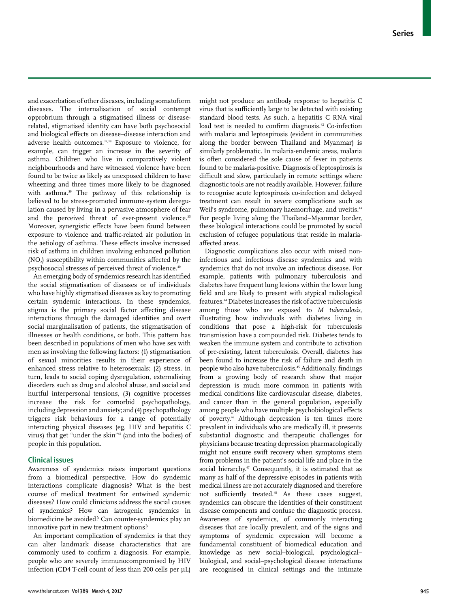and exacerbation of other diseases, including somatoform diseases. The internalisation of social contempt opprobrium through a stigmatised illness or diseaserelated, stigmatised identity can have both psychosocial and biological effects on disease–disease interaction and adverse health outcomes.<sup>37,38</sup> Exposure to violence, for example, can trigger an increase in the severity of asthma. Children who live in comparatively violent neighbourhoods and have witnessed violence have been found to be twice as likely as unexposed children to have wheezing and three times more likely to be diagnosed with asthma.<sup>39</sup> The pathway of this relationship is believed to be stress-promoted immune-system deregulation caused by living in a pervasive atmosphere of fear and the perceived threat of ever-present violence.<sup>35</sup> Moreover, synergistic effects have been found between exposure to violence and traffic-related air pollution in the aetiology of asthma. These effects involve increased risk of asthma in children involving enhanced pollution (NO<sub>2</sub>) susceptibility within communities affected by the psychosocial stresses of perceived threat of violence.<sup>40</sup>

An emerging body of syndemics research has identified the social stigmatisation of diseases or of individuals who have highly stigmatised diseases as key to promoting certain syndemic interactions. In these syndemics, stigma is the primary social factor affecting disease interactions through the damaged identities and overt social marginalisation of patients, the stigmatisation of illnesses or health conditions, or both. This pattern has been described in populations of men who have sex with men as involving the following factors: (1) stigmatisation of sexual minorities results in their experience of enhanced stress relative to heterosexuals; (2) stress, in turn, leads to social coping dysregulation, externalising disorders such as drug and alcohol abuse, and social and hurtful interpersonal tensions, (3) cognitive processes increase the risk for comorbid psychopathology, including depression and anxiety; and (4) psychopathology triggers risk behaviours for a range of potentially interacting physical diseases (eg, HIV and hepatitis C virus) that get "under the skin"<sup>41</sup> (and into the bodies) of people in this population.

# **Clinical issues**

Awareness of syndemics raises important questions from a biomedical perspective. How do syndemic interactions complicate diagnosis? What is the best course of medical treatment for entwined syndemic diseases? How could clinicians address the social causes of syndemics? How can iatrogenic syndemics in biomedicine be avoided? Can counter-syndemics play an innovative part in new treatment options?

An important complication of syndemics is that they can alter landmark disease characteristics that are commonly used to confirm a diagnosis. For example, people who are severely immunocompromised by HIV infection (CD4 T-cell count of less than 200 cells per  $\mu$ L)

might not produce an antibody response to hepatitis C virus that is sufficiently large to be detected with existing standard blood tests. As such, a hepatitis C RNA viral load test is needed to confirm diagnosis.<sup>42</sup> Co-infection with malaria and leptospirosis (evident in communities along the border between Thailand and Myanmar) is similarly problematic. In malaria-endemic areas, malaria is often considered the sole cause of fever in patients found to be malaria-positive. Diagnosis of leptospirosis is difficult and slow, particularly in remote settings where diagnostic tools are not readily available. However, failure to recognise acute leptospirosis co-infection and delayed treatment can result in severe complications such as Weil's syndrome, pulmonary haemorrhage, and uveitis.<sup>43</sup> For people living along the Thailand–Myanmar border, these biological interactions could be promoted by social exclusion of refugee populations that reside in malariaaffected areas.

Diagnostic complications also occur with mixed noninfectious and infectious disease syndemics and with syndemics that do not involve an infectious disease. For example, patients with pulmonary tuberculosis and diabetes have frequent lung lesions within the lower lung field and are likely to present with atypical radiological features.44 Diabetes increases the risk of active tuberculosis among those who are exposed to *M tuberculosis*, illustrating how individuals with diabetes living in conditions that pose a high-risk for tuberculosis transmission have a compounded risk. Diabetes tends to weaken the immune system and contribute to activation of pre-existing, latent tuberculosis. Overall, diabetes has been found to increase the risk of failure and death in people who also have tuberculosis.45 Additionally, findings from a growing body of research show that major depression is much more common in patients with medical conditions like cardiovascular disease, diabetes, and cancer than in the general population, especially among people who have multiple psychobiological effects of poverty.46 Although depression is ten times more prevalent in individuals who are medically ill, it presents substantial diagnostic and therapeutic challenges for physicians because treating depression pharmacologically might not ensure swift recovery when symptoms stem from problems in the patient's social life and place in the social hierarchy.<sup>47</sup> Consequently, it is estimated that as many as half of the depressive episodes in patients with medical illness are not accurately diagnosed and therefore not sufficiently treated.48 As these cases suggest, syndemics can obscure the identities of their constituent disease components and confuse the diagnostic process. Awareness of syndemics, of commonly interacting diseases that are locally prevalent, and of the signs and symptoms of syndemic expression will become a fundamental constituent of biomedical education and knowledge as new social–biological, psychological– biological, and social–psychological disease interactions are recognised in clinical settings and the intimate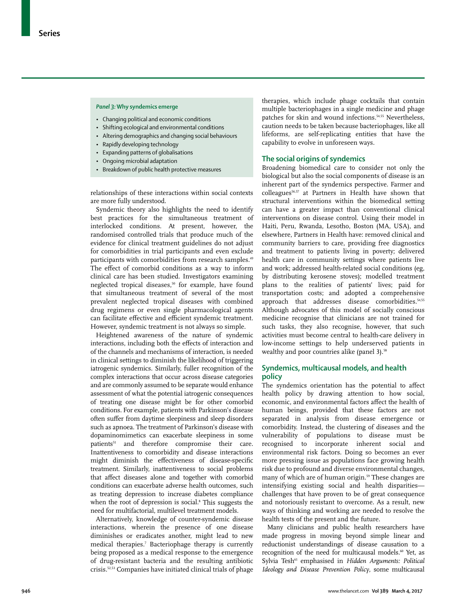#### *Panel 3:* **Why syndemics emerge**

- Changing political and economic conditions
- Shifting ecological and environmental conditions
- • Altering demographics and changing social behaviours
- • Rapidly developing technology
- • Expanding patterns of globalisations
- Ongoing microbial adaptation
- Breakdown of public health protective measures

relationships of these interactions within social contexts are more fully understood.

Syndemic theory also highlights the need to identify best practices for the simultaneous treatment of interlocked conditions. At present, however, the randomised controlled trials that produce much of the evidence for clinical treatment guidelines do not adjust for comorbidities in trial participants and even exclude participants with comorbidities from research samples.<sup>49</sup> The effect of comorbid conditions as a way to inform clinical care has been studied. Investigators examining neglected tropical diseases,<sup>50</sup> for example, have found that simultaneous treatment of several of the most prevalent neglected tropical diseases with combined drug regimens or even single pharmacological agents can facilitate effective and efficient syndemic treatment. However, syndemic treatment is not always so simple.

Heightened awareness of the nature of syndemic interactions, including both the effects of interaction and of the channels and mechanisms of interaction, is needed in clinical settings to diminish the likelihood of triggering iatrogenic syndemics. Similarly, fuller recognition of the complex interactions that occur across disease categories and are commonly assumed to be separate would enhance assessment of what the potential iatrogenic consequences of treating one disease might be for other comorbid conditions. For example, patients with Parkinson's disease often suffer from daytime sleepiness and sleep disorders such as apnoea. The treatment of Parkinson's disease with dopaminomimetics can exacerbate sleepiness in some patients<sup>51</sup> and therefore compromise their care. Inattentiveness to comorbidity and disease interactions might diminish the effectiveness of disease-specific treatment. Similarly, inattentiveness to social problems that affect diseases alone and together with comorbid conditions can exacerbate adverse health outcomes, such as treating depression to increase diabetes compliance when the root of depression is social.<sup>8</sup> This suggests the need for multifactorial, multilevel treatment models.

Alternatively, knowledge of counter-syndemic disease interactions, wherein the presence of one disease diminishes or eradicates another, might lead to new medical therapies.7 Bacteriophage therapy is currently being proposed as a medical response to the emergence of drug-resistant bacteria and the resulting antibiotic crisis.52,53 Companies have initiated clinical trials of phage

therapies, which include phage cocktails that contain multiple bacteriophages in a single medicine and phage patches for skin and wound infections.<sup>54,55</sup> Nevertheless, caution needs to be taken because bacteriophages, like all lifeforms, are self-replicating entities that have the capability to evolve in unforeseen ways.

# **The social origins of syndemics**

Broadening biomedical care to consider not only the biological but also the social components of disease is an inherent part of the syndemics perspective. Farmer and colleagues56,57 at Partners in Health have shown that structural interventions within the biomedical setting can have a greater impact than conventional clinical interventions on disease control. Using their model in Haiti, Peru, Rwanda, Lesotho, Boston (MA, USA), and elsewhere, Partners in Health have: removed clinical and community barriers to care, providing free diagnostics and treatment to patients living in poverty; delivered health care in community settings where patients live and work; addressed health-related social conditions (eg, by distributing kerosene stoves); modelled treatment plans to the realities of patients' lives; paid for transportation costs; and adopted a comprehensive approach that addresses disease comorbidities.<sup>54,55</sup> Although advocates of this model of socially conscious medicine recognise that clinicians are not trained for such tasks, they also recognise, however, that such activities must become central to health-care delivery in low-income settings to help underserved patients in wealthy and poor countries alike (panel 3).<sup>58</sup>

# **Syndemics, multicausal models, and health policy**

The syndemics orientation has the potential to affect health policy by drawing attention to how social, economic, and environmental factors affect the health of human beings, provided that these factors are not separated in analysis from disease emergence or comorbidity. Instead, the clustering of diseases and the vulnerability of populations to disease must be recognised to incorporate inherent social and environmental risk factors. Doing so becomes an ever more pressing issue as populations face growing health risk due to profound and diverse environmental changes, many of which are of human origin.59 These changes are intensifying existing social and health disparities challenges that have proven to be of great consequence and notoriously resistant to overcome. As a result, new ways of thinking and working are needed to resolve the health tests of the present and the future.

Many clinicians and public health researchers have made progress in moving beyond simple linear and reductionist understandings of disease causation to a recognition of the need for multicausal models.<sup>60</sup> Yet, as Sylvia Tesh<sup>61</sup> emphasised in *Hidden Arguments: Political Ideology and Disease Prevention Policy*, some multicausal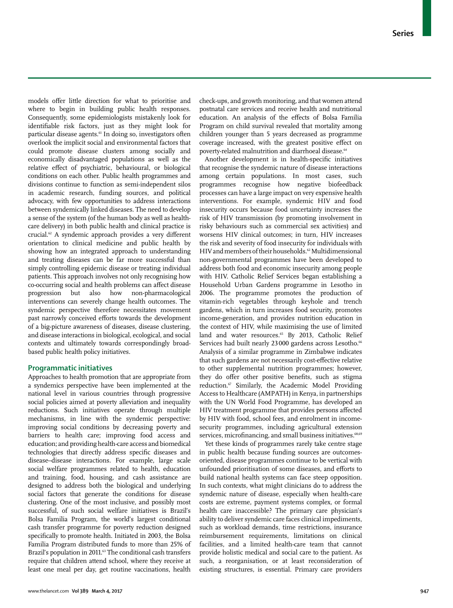models offer little direction for what to prioritise and where to begin in building public health responses. Consequently, some epidemiologists mistakenly look for identifiable risk factors, just as they might look for particular disease agents.<sup>61</sup> In doing so, investigators often overlook the implicit social and environmental factors that could promote disease clusters among socially and economically disadvantaged populations as well as the relative effect of psychiatric, behavioural, or biological conditions on each other. Public health programmes and divisions continue to function as semi-independent silos in academic research, funding sources, and political advocacy, with few opportunities to address interactions between syndemically linked diseases. The need to develop a sense of the system (of the human body as well as healthcare delivery) in both public health and clinical practice is crucial.62 A syndemic approach provides a very different orientation to clinical medicine and public health by showing how an integrated approach to understanding and treating diseases can be far more successful than simply controlling epidemic disease or treating individual patients. This approach involves not only recognising how co-occurring social and health problems can affect disease progression but also how non-pharmacological interventions can severely change health outcomes. The syndemic perspective therefore necessitates movement past narrowly conceived efforts towards the development of a big-picture awareness of diseases, disease clustering, and disease interactions in biological, ecological, and social contexts and ultimately towards correspondingly broadbased public health policy initiatives.

# **Programmatic initiatives**

Approaches to health promotion that are appropriate from a syndemics perspective have been implemented at the national level in various countries through progressive social policies aimed at poverty alleviation and inequality reductions. Such initiatives operate through multiple mechanisms, in line with the syndemic perspective: improving social conditions by decreasing poverty and barriers to health care; improving food access and education; and providing health-care access and biomedical technologies that directly address specific diseases and disease–disease interactions. For example, large scale social welfare programmes related to health, education and training, food, housing, and cash assistance are designed to address both the biological and underlying social factors that generate the conditions for disease clustering. One of the most inclusive, and possibly most successful, of such social welfare initiatives is Brazil's Bolsa Familia Program, the world's largest conditional cash transfer programme for poverty reduction designed specifically to promote health. Initiated in 2003, the Bolsa Familia Program distributed funds to more than 25% of Brazil's population in 2011.<sup>63</sup> The conditional cash transfers require that children attend school, where they receive at least one meal per day, get routine vaccinations, health check-ups, and growth monitoring, and that women attend postnatal care services and receive health and nutritional education. An analysis of the effects of Bolsa Familia Program on child survival revealed that mortality among children younger than 5 years decreased as programme coverage increased, with the greatest positive effect on poverty-related malnutrition and diarrhoeal disease.<sup>64</sup>

Another development is in health-specific initiatives that recognise the syndemic nature of disease interactions among certain populations. In most cases, such programmes recognise how negative biofeedback processes can have a large impact on very expensive health interventions. For example, syndemic HIV and food insecurity occurs because food uncertainty increases the risk of HIV transmission (by promoting involvement in risky behaviours such as commercial sex activities) and worsens HIV clinical outcomes; in turn, HIV increases the risk and severity of food insecurity for individuals with HIV and members of their households.62 Multidimensional non-governmental programmes have been developed to address both food and economic insecurity among people with HIV. Catholic Relief Services began establishing a Household Urban Gardens programme in Lesotho in 2006. The programme promotes the production of vitamin-rich vegetables through keyhole and trench gardens, which in turn increases food security, promotes income-generation, and provides nutrition education in the context of HIV, while maximising the use of limited land and water resources.<sup>65</sup> By 2013, Catholic Relief Services had built nearly 23000 gardens across Lesotho.<sup>66</sup> Analysis of a similar programme in Zimbabwe indicates that such gardens are not necessarily cost-effective relative to other supplemental nutrition programmes; however, they do offer other positive benefits, such as stigma reduction.<sup>67</sup> Similarly, the Academic Model Providing Access to Healthcare (AMPATH) in Kenya, in partnerships with the UN World Food Programme, has developed an HIV treatment programme that provides persons affected by HIV with food, school fees, and enrolment in incomesecurity programmes, including agricultural extension services, microfinancing, and small business initiatives.<sup>68,69</sup>

Yet these kinds of programmes rarely take centre stage in public health because funding sources are outcomesoriented, disease programmes continue to be vertical with unfounded prioritisation of some diseases, and efforts to build national health systems can face steep opposition. In such contexts, what might clinicians do to address the syndemic nature of disease, especially when health-care costs are extreme, payment systems complex, or formal health care inaccessible? The primary care physician's ability to deliver syndemic care faces clinical impediments, such as workload demands, time restrictions, insurance reimbursement requirements, limitations on clinical facilities, and a limited health-care team that cannot provide holistic medical and social care to the patient. As such, a reorganisation, or at least reconsideration of existing structures, is essential. Primary care providers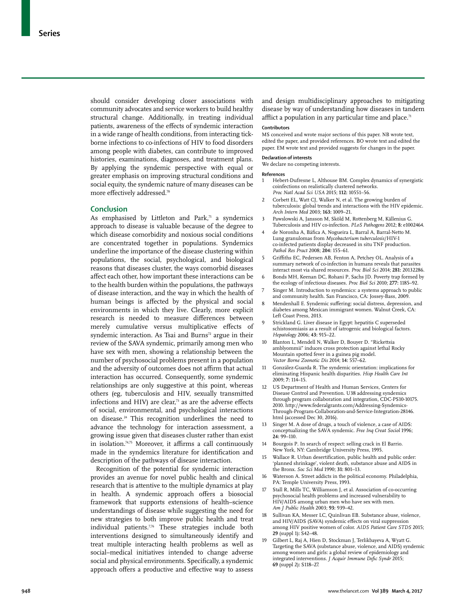should consider developing closer associations with community advocates and service workers to build healthy structural change. Additionally, in treating individual patients, awareness of the effects of syndemic interaction in a wide range of health conditions, from interacting tickborne infections to co-infections of HIV to food disorders among people with diabetes, can contribute to improved histories, examinations, diagnoses, and treatment plans. By applying the syndemic perspective with equal or greater emphasis on improving structural conditions and social equity, the syndemic nature of many diseases can be more effectively addressed.<sup>70</sup>

# **Conclusion**

As emphasised by Littleton and Park, $71$  a syndemics approach to disease is valuable because of the degree to which disease comorbidity and noxious social conditions are concentrated together in populations. Syndemics underline the importance of the disease clustering within populations, the social, psychological, and biological reasons that diseases cluster, the ways comorbid diseases affect each other, how important these interactions can be to the health burden within the populations, the pathways of disease interaction, and the way in which the health of human beings is affected by the physical and social environments in which they live. Clearly, more explicit research is needed to measure differences between merely cumulative versus multiplicative effects of syndemic interaction. As Tsai and Burns<sup>72</sup> argue in their review of the SAVA syndemic, primarily among men who have sex with men, showing a relationship between the number of psychosocial problems present in a population and the adversity of outcomes does not affirm that actual interaction has occurred. Consequently, some syndemic relationships are only suggestive at this point, whereas others (eg, tuberculosis and HIV, sexually transmitted infections and HIV) are clear, $73$  as are the adverse effects of social, environmental, and psychological interactions on disease.24 This recognition underlines the need to advance the technology for interaction assessment, a growing issue given that diseases cluster rather than exist in isolation.74,75 Moreover, it affirms a call continuously made in the syndemics literature for identification and description of the pathways of disease interaction.

Recognition of the potential for syndemic interaction provides an avenue for novel public health and clinical research that is attentive to the multiple dynamics at play in health. A syndemic approach offers a biosocial framework that supports extensions of health–science understandings of disease while suggesting the need for new strategies to both improve public health and treat individual patients.<sup>776</sup> These strategies include both interventions designed to simultaneously identify and treat multiple interacting health problems as well as social–medical initiatives intended to change adverse social and physical environments. Specifically, a syndemic approach offers a productive and effective way to assess

and design multidisciplinary approaches to mitigating disease by way of understanding how diseases in tandem afflict a population in any particular time and place.<sup>71</sup>

#### **Contributors**

MS conceived and wrote major sections of this paper. NB wrote text, edited the paper, and provided references. BO wrote text and edited the paper. EM wrote text and provided suggests for changes in the paper.

# **Declaration of interests**

We declare no competing interests.

#### **References**

- 1 Hebert-Dufresne L, Althouse BM. Complex dynamics of synergistic coinfections on realistically clustered networks. *Proc Natl Acad Sci USA* 2015; **112:** 10551–56.
- 2 Corbett EL, Watt CJ, Walker N, et al. The growing burden of tuberculosis: global trends and interactions with the HIV epidemic. *Arch Intern Med* 2003; **163:** 1009–21.
- 3 Pawslowski A, Jansson M, Sköld M, Rottenberg M, Källenius G. Tuberculosis and HIV co-infection. *PLoS Pathogens* 2012; **8:** e1002464.
- 4 de Noronha A, Báfica A, Nogueira L, Barral A, Barral-Netto M. Lung granulomas from *Mycobacterium tuberculosis*/HIV-1 co-infected patients display decreased in situ TNF production. *Pathol Res Pract* 2008; **204:** 155–61.
- 5 Griffiths EC, Pedersen AB, Fenton A, Petchey OL. Analysis of a summary network of co-infection in humans reveals that parasites interact most via shared resources. *Proc Biol Sci* 2014; **281:** 20132286.
- 6 Bonds MH, Keenan DC, Rohani P, Sachs JD. Poverty trap formed by the ecology of infectious diseases. *Proc Biol Sci* 2010; **277:** 1185–92.
- Singer M. Introduction to syndemics: a systems approach to public and community health. San Francisco, CA: Jossey-Bass, 2009.
- 8 Mendenhall E. Syndemic suffering: social distress, depression, and diabetes among Mexican immigrant women. Walnut Creek, CA: Left Coast Press, 2013.
- 9 Strickland G. Liver disease in Egypt: hepatitis C superseded schistosomiasis as a result of iatrogenic and biological factors. *Hepatology* 2006; **43:** 915–22.
- 10 Blanton L, Mendell N, Walker D, Bouyer D. "Rickettsia amblyommii" induces cross protection against lethal Rocky Mountain spotted fever in a guinea pig model. *Vector Borne Zoonotic Dis* 2014; **14:** 557–62.
- 11 González-Guarda R. The syndemic orientation: implications for eliminating Hispanic health disparities. *Hisp Health Care Int* 2009; **7:** 114–15.
- 12 US Department of Health and Human Services, Centers for Disease Control and Prevention. U38 addressing syndemics through program collaboration and integration, CDC-PS10-10175. 2010. http://www.federalgrants.com/Addressing-Syndemics-Through-Program-Collaboration-and-Service-Integration-28146. html (accessed Dec 30, 2016).
- 13 Singer M. A dose of drugs, a touch of violence, a case of AIDS: conceptualizing the SAVA syndemic. *Free Inq Creat Sociol* 1996; **24:** 99–110.
- Bourgois P. In search of respect: selling crack in El Barrio. New York, NY: Cambridge University Press, 1995.
- 15 Wallace R. Urban desertification, public health and public order: 'planned shrinkage', violent death, substance abuse and AIDS in the Bronx. *Soc Sci Med* 1990; **31:** 801–13.
- Waterson A. Street addicts in the political economy. Philadelphia, PA: Temple University Press, 1993.
- 17 Stall R, Mills TC, Williamson J, et al. Association of co-occurring psychosocial health problems and increased vulnerability to HIV/AIDS among urban men who have sex with men. *Am J Public Health* 2003; **93:** 939–42.
- Sullivan KA, Messer LC, Quinlivan EB. Substance abuse, violence, and HIV/AIDS (SAVA) syndemic effects on viral suppression among HIV positive women of color. *AIDS Patient Care STDS* 2015; **29** (suppl 1)**:** S42–48.
- 19 Gilbert L, Raj A, Hien D, Stockman J, Terlikbayeva A, Wyatt G. Targeting the SAVA (substance abuse, violence, and AIDS) syndemic among women and girls: a global review of epidemiology and integrated interventions. *J Acquir Immune Defic Syndr* 2015; **69** (suppl 2)**:** S118–27.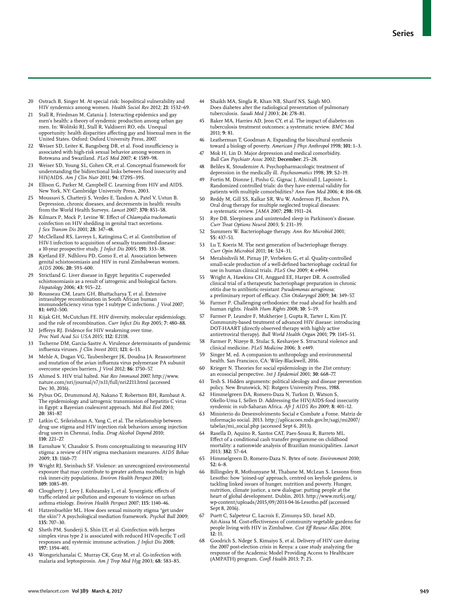- 20 Ostrach B, Singer M. At special risk: biopolitical vulnerability and HIV syndemics among women. *Health Sociol Rev* 2012; **21:** 1532–69.
- 21 Stall R, Friedman M, Catania J. Interacting epidemics and gay men's health: a theory of syndemic production among urban gay men. In: Wolitski RJ, Stall R, Valdiserri RO, eds. Unequal opportunity: health disparities affecting gay and bisexual men in the United States. Oxford: Oxford University Press, 2007.
- 22 Weiser SD, Leiter K, Bangsberg DR, et al. Food insufficiency is associated with high-risk sexual behavior among women in Botswana and Swaziland. *PLoS Med* 2007; **4:** 1589–98.
- 23 Weiser SD, Young SL, Cohen CR, et al. Conceptual framework for understanding the bidirectional links between food insecurity and HIV/AIDS. *Am J Clin Nutr* 2011; **94:** 1729S–39S.
- 24 Ellison G, Parker M, Campbell C. Learning from HIV and AIDS. New York, NY: Cambridge University Press, 2003.
- 25 Moussavi S, Chatterji S, Verdes E, Tandon A, Patel V, Ustun B. Depression, chronic diseases, and decrements in health: results from the World Health Surveys. *Lancet* 2007; **370:** 851–58.
- 26 Kilmarx P, Mock P, Levine W. Effect of *Chlamydia trachomatis* coinfection on HIV shedding in genital tract secretions. *J Sex Transm Dis* 2001; **28:** 347–48.
- 27 McClelland RS, Lavreys L, Katingima C, et al. Contribution of HIV-1 infection to acquisition of sexually transmitted disease: a 10-year prospective study. *J Infect Dis* 2005; **191:** 333–38.
- 28 Kjetland EF, Ndhlovu PD, Gomo E, et al. Association between genital schistosomiasis and HIV in rural Zimbabwean women. *AIDS* 2006; **20:** 593–600.
- 29 Strictland G. Liver disease in Egypt: hepatitis C superseded schistosomiasis as a result of iatrogenic and biological factors. *Hepatology* 2006; **43:** 915–22.
- Rousseau CM, Learn GH, Bhattacharya T, et al. Extensive intrasubtype recombination in South African human immunodeficiency virus type 1 subtype C infections. *J Virol* 2007; **81:** 4492–500.
- 31 Kijak GH, McCutchan FE. HIV diversity, molecular epidemiology, and the role of recombination. *Curr Infect Dis Rep* 2005; **7:** 480–88.
- Jefferys RJ. Evidence for HIV weakening over time. *Proc Natl Acad Sci USA* 2015; **112:** E2118.
- 33 Tscherne DM, Garcia-Sastre A. Virulence determinants of pandemic influenza viruses. *J Clin Invest* 2011; **121:** 6–13.
- 34 Mehle A, Dugan VG, Taubenberger JK, Doudna JA. Reassortment and mutation of the avian influenza virus polymerase PA subunit overcome species barriers. *J Virol* 2012; **86:** 1750–57.
- 35 Ahmed S. HIV trial halted. *Nat Rev Immunol* 2007. http://www. nature.com/nri/journal/v7/n11/full/nri2211.html (accessed Dec 30, 2016).
- 36 Pybus OG, Drummond AJ, Nakano T, Robertson BH, Rambaut A. The epidemiology and iatrogenic transmission of hepatitis C virus in Egypt: a Bayesian coalescent approach. *Mol Biol Evol* 2003; **20:** 381–87.
- 37 Latkin C, Srikrishnan A, Yang C, et al. The relationship between drug use stigma and HIV injection risk behaviors among injection drug users in Chennai, India. *Drug Alcohol Depend* 2010; **110:** 221–27.
- 38 Earnshaw V, Chaudoir S. From conceptualizing to measuring HIV stigma: a review of HIV stigma mechanism measures. *AIDS Behav* 2009; **13:** 1160–77.
- 39 Wright RJ, Steinbach SF. Violence: an unrecognized environmental exposure that may contribute to greater asthma morbidity in high risk inner-city populations. *Environ Health Perspect* 2001; **109:** 1085–89.
- 40 Clougherty J, Levy J, Kubzansky L, et al. Synergistic effects of traffic-related air pollution and exposure to violence on urban asthma etiology. *Environ Health Perspect* 2007; **115:** 1140–46.
- Hatzenbuehler ML. How does sexual minority stigma "get under the skin"? A psychological mediation framework. *Psychol Bull* 2009; **135:** 707–30.
- 42 Sheth PM, Sunderji S, Shin LY, et al. Coinfection with herpes simplex virus type 2 is associated with reduced HIV-specific T cell responses and systemic immune activation. *J Infect Dis* 2008; **197:** 1394–401.
- 43 Wongsrichanalai C, Murray CK, Gray M, et al. Co-infection with malaria and leptospirosis. *Am J Trop Med Hyg* 2003; **68:** 583–85.
- 44 Shaikh MA, Singla R, Khan NB, Sharif NS, Saigh MO. Does diabetes alter the radiological presentation of pulmonary tuberculosis. *Saudi Med J* 2003; **24:** 278–81.
- Baker MA, Harries AD, Jeon CY, et al. The impact of diabetes on tuberculosis treatment outcomes: a systematic review. *BMC Med* 2011; **9:** 81.
- 46 Leatherman T, Goodman A. Expanding the biocultural synthesis toward a biology of poverty. *American J Phys Anthropol* 1998; **101:** 1–3.
- 47 Mok H, Lin D. Major depression and medical comorbidity. *Bull Can Psychiatr Assoc* 2002; **December:** 25–28.
- 48 Beliles K, Stoudemire A. Psychopharmacologic treatment of depression in the medically ill. *Psychosomatics* 1998; **39:** S2–19.
- 49 Fortin M, Dionne J, Pinho G, Gignac J, Almirall J, Lapointe L. Randomized controlled trials: do they have external validity for patients with multiple comorbidities? *Ann Fam Med* 2006; **4:** 104–08.
- Reddy M, Gill SS, Kalkar SR, Wu W, Anderson PJ, Rochon PA. Oral drug therapy for multiple neglected tropical diseases: a systematic review. *JAMA* 2007; **298:** 1911–24.
- Rye DB. Sleepiness and unintended sleep in Parkinson's disease. *Curr Treat Options Neurol* 2003; **5:** 231–39.
- 52 Summers W. Bacteriophage therapy. *Ann Rev Microbiol* 2001; **55:** 437–51.
- 53 Lu T, Koeris M. The next generation of bacteriophage therapy. *Curr Opin Microbiol* 2011; **14:** 524–31.
- 54 Merabishvili M, Pirnay JP, Verbeken G, et al. Quality-controlled small-scale production of a well-defined bacteriophage cocktail for use in human clinical trials. *PLoS One* 2009; **4:** e4944.
- 55 Wright A, Hawkins CH, Anggard EE, Harper DR. A controlled clinical trial of a therapeutic bacteriophage preparation in chronic otitis due to antibiotic-resistant *Pseudomonas aeruginosa*; a preliminary report of efficacy. *Clin Otolaryngol* 2009; **34:** 349–57.
- 56 Farmer P. Challenging orthodoxies: the road ahead for health and human rights. *Health Hum Rights* 2008; **10:** 5–19.
- 57 Farmer P, Leandre F, Mukherjee J, Gupta R, Tarter L, Kim JY. Community-based treatment of advanced HIV disease: introducing DOT-HAART (directly observed therapy with highly active antiretroviral therapy). *Bull World Health Organ* 2001; **79:** 1145–51.
- 58 Farmer P, Nizeye B, Stulac S, Keshavjee S. Structural violence and clinical medicine. *PLoS Medicine* 2006; **3:** e449.
- Singer M, ed. A companion to anthropology and environmental health. San Francisco, CA: Wiley-Blackwell, 2016.
- 60 Krieger N. Theories for social epidemiology in the 21st century: an ecosocial perspective. *Int J Epidemiol* 2001; **30:** 668–77.
- 61 Tesh S. Hidden arguments: political ideology and disease prevention policy. New Brunswick, NJ: Rutgers University Press, 1988.
- Himmelgreen DA, Romero-Daza N, Turkon D, Watson S, Okello-Uma I, Sellen D. Addressing the HIV/AIDS-food insecurity syndemic in sub-Saharan Africa. *Afr J AIDS Res* 2009; **8:** 401–12.
- 63 Ministerio do Desenvolvimento Social e Combate a Fome. Matriz de informação social. 2013. http://aplicacoes.mds.gov.br/sagi/mi2007/ tabelas/mi\_social.php (accessed Sept 6, 2013).
- Rasella D, Aquino R, Santos CAT, Paes-Sousa R, Barreto ML. Effect of a conditional cash transfer programme on childhood mortality: a nationwide analysis of Brazilian municipalities. *Lancet* 2013; **382:** 57–64.
- 65 Himmelgreen D, Romero-Daza N. Bytes of note. *Environment* 2010; **52:** 6–8.
- 66 Billingsley R, Mothunyane M, Thabane M, McLean S. Lessons from Lesotho: how 'joined-up' approach, centred on keyhole gardens, is tackling linked issues of hunger, nutrition and poverty. Hunger, nutrition, climate justice, a new dialogue: putting people at the heart of global development. Dublin, 2013. http://www.mrfcj.org/ wp-content/uploads/2015/09/2013-04-16-Lesotho.pdf (accessed Sept 8, 2016).
- 67 Puett C, Salpeteur C, Lacroix E, Zimunya SD, Israel AD, Ait-Aissa M. Cost-effectiveness of community vegetable gardens for people living with HIV in Zimbabwe. *Cost Eff Resour Alloc* 2014; **12:** 11.
- 68 Goodrich S, Ndege S, Kimaiyo S, et al. Delivery of HIV care during the 2007 post-election crisis in Kenya: a case study analyzing the response of the Academic Model Providing Access to Healthcare (AMPATH) program. *Confl Health* 2013; **7:** 25.